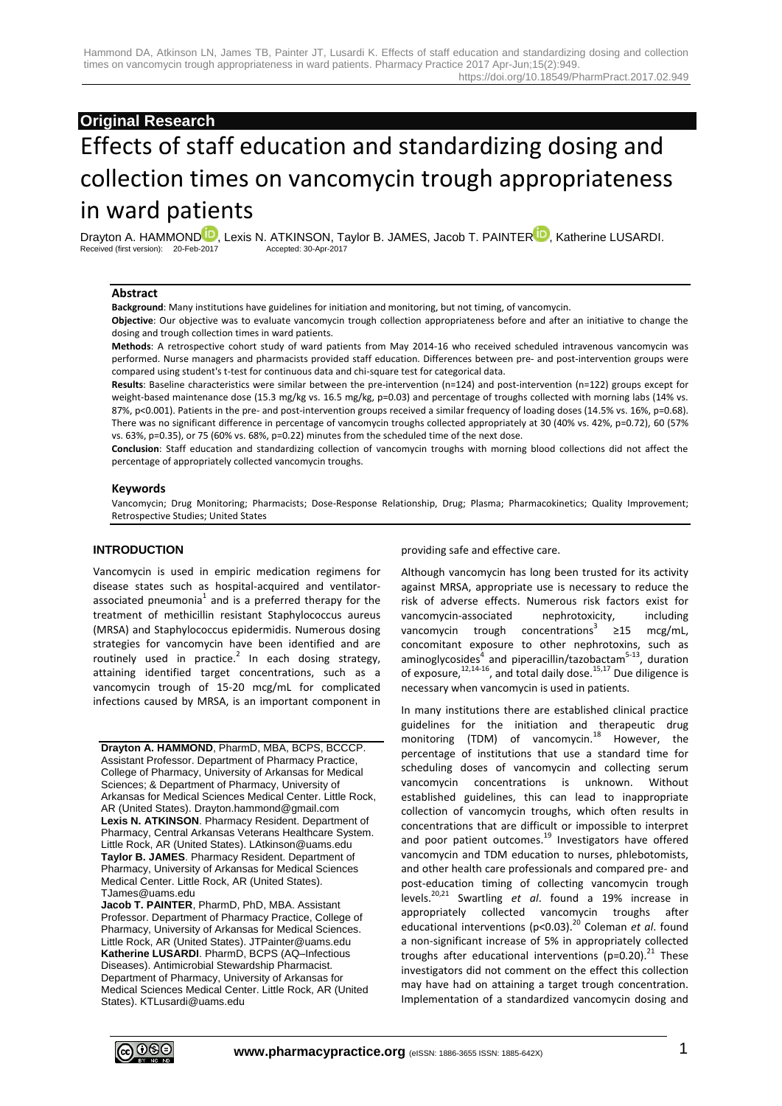# **Original Research**

# Effects of staff education and standardizing dosing and collection times on vancomycin trough appropriateness in ward patients

[D](http://orcid.org/0000-0002-9056-5560)rayton A. HAMMOND<sup>ID</sup>, Lexis N. ATKINSON, Taylor B. JAMES, Jacob T. PAINTE[R](http://orcid.org/0000-0003-2657-0442)<sup>ID</sup>, Katherine LUSARDI.<br>Received (first version): 20-Feb-2017<br>Accepted: 30-Apr-2017 Received (first version): 20-Feb-2017

# **Abstract**

**Background**: Many institutions have guidelines for initiation and monitoring, but not timing, of vancomycin.

**Objective**: Our objective was to evaluate vancomycin trough collection appropriateness before and after an initiative to change the dosing and trough collection times in ward patients.

**Methods**: A retrospective cohort study of ward patients from May 2014-16 who received scheduled intravenous vancomycin was performed. Nurse managers and pharmacists provided staff education. Differences between pre- and post-intervention groups were compared using student's t-test for continuous data and chi-square test for categorical data.

**Results**: Baseline characteristics were similar between the pre-intervention (n=124) and post-intervention (n=122) groups except for weight-based maintenance dose (15.3 mg/kg vs. 16.5 mg/kg, p=0.03) and percentage of troughs collected with morning labs (14% vs. 87%, p<0.001). Patients in the pre- and post-intervention groups received a similar frequency of loading doses (14.5% vs. 16%, p=0.68). There was no significant difference in percentage of vancomycin troughs collected appropriately at 30 (40% vs. 42%, p=0.72), 60 (57% vs. 63%, p=0.35), or 75 (60% vs. 68%, p=0.22) minutes from the scheduled time of the next dose.

**Conclusion**: Staff education and standardizing collection of vancomycin troughs with morning blood collections did not affect the percentage of appropriately collected vancomycin troughs.

#### **Keywords**

Vancomycin; Drug Monitoring; Pharmacists; Dose-Response Relationship, Drug; Plasma; Pharmacokinetics; Quality Improvement; Retrospective Studies; United States

## **INTRODUCTION**

Vancomycin is used in empiric medication regimens for disease states such as hospital-acquired and ventilatorassociated pneumonia $^1$  and is a preferred therapy for the treatment of methicillin resistant Staphylococcus aureus (MRSA) and Staphylococcus epidermidis. Numerous dosing strategies for vancomycin have been identified and are routinely used in practice.<sup>2</sup> In each dosing strategy, attaining identified target concentrations, such as a vancomycin trough of 15-20 mcg/mL for complicated infections caused by MRSA, is an important component in

**Drayton A. HAMMOND**, PharmD, MBA, BCPS, BCCCP. Assistant Professor. Department of Pharmacy Practice, College of Pharmacy, University of Arkansas for Medical Sciences; & Department of Pharmacy, University of Arkansas for Medical Sciences Medical Center. Little Rock, AR (United States). Drayton.hammond@gmail.com **Lexis N. ATKINSON**. Pharmacy Resident. Department of Pharmacy, Central Arkansas Veterans Healthcare System. Little Rock, AR (United States). LAtkinson@uams.edu **Taylor B. JAMES**. Pharmacy Resident. Department of Pharmacy, University of Arkansas for Medical Sciences Medical Center. Little Rock, AR (United States). TJames@uams.edu

**Jacob T. PAINTER**, PharmD, PhD, MBA. Assistant Professor. Department of Pharmacy Practice, College of Pharmacy, University of Arkansas for Medical Sciences. Little Rock, AR (United States). JTPainter@uams.edu **Katherine LUSARDI**. PharmD, BCPS (AQ–Infectious Diseases). Antimicrobial Stewardship Pharmacist. Department of Pharmacy, University of Arkansas for Medical Sciences Medical Center. Little Rock, AR (United States). KTLusardi@uams.edu

#### providing safe and effective care.

Although vancomycin has long been trusted for its activity against MRSA, appropriate use is necessary to reduce the risk of adverse effects. Numerous risk factors exist for vancomycin-associated nephrotoxicity, including vancomycin trough concentrations<sup>3</sup> ≥15 mcg/mL, concomitant exposure to other nephrotoxins, such as aminoglycosides<sup>4</sup> and piperacillin/tazobactam<sup>5-13</sup>, duration of exposure,  $12,14-16$ , and total daily dose.  $15,17$  Due diligence is necessary when vancomycin is used in patients.

In many institutions there are established clinical practice guidelines for the initiation and therapeutic drug monitoring (TDM) of vancomycin.<sup>18</sup> However, the percentage of institutions that use a standard time for scheduling doses of vancomycin and collecting serum vancomycin concentrations is unknown. Without established guidelines, this can lead to inappropriate collection of vancomycin troughs, which often results in concentrations that are difficult or impossible to interpret and poor patient outcomes.<sup>19</sup> Investigators have offered vancomycin and TDM education to nurses, phlebotomists, and other health care professionals and compared pre- and post-education timing of collecting vancomycin trough levels.20,21 Swartling *et al*. found a 19% increase in appropriately collected vancomycin troughs after educational interventions (p<0.03).<sup>20</sup> Coleman *et al.* found a non-significant increase of 5% in appropriately collected troughs after educational interventions ( $p=0.20$ ).<sup>21</sup> These investigators did not comment on the effect this collection may have had on attaining a target trough concentration. Implementation of a standardized vancomycin dosing and

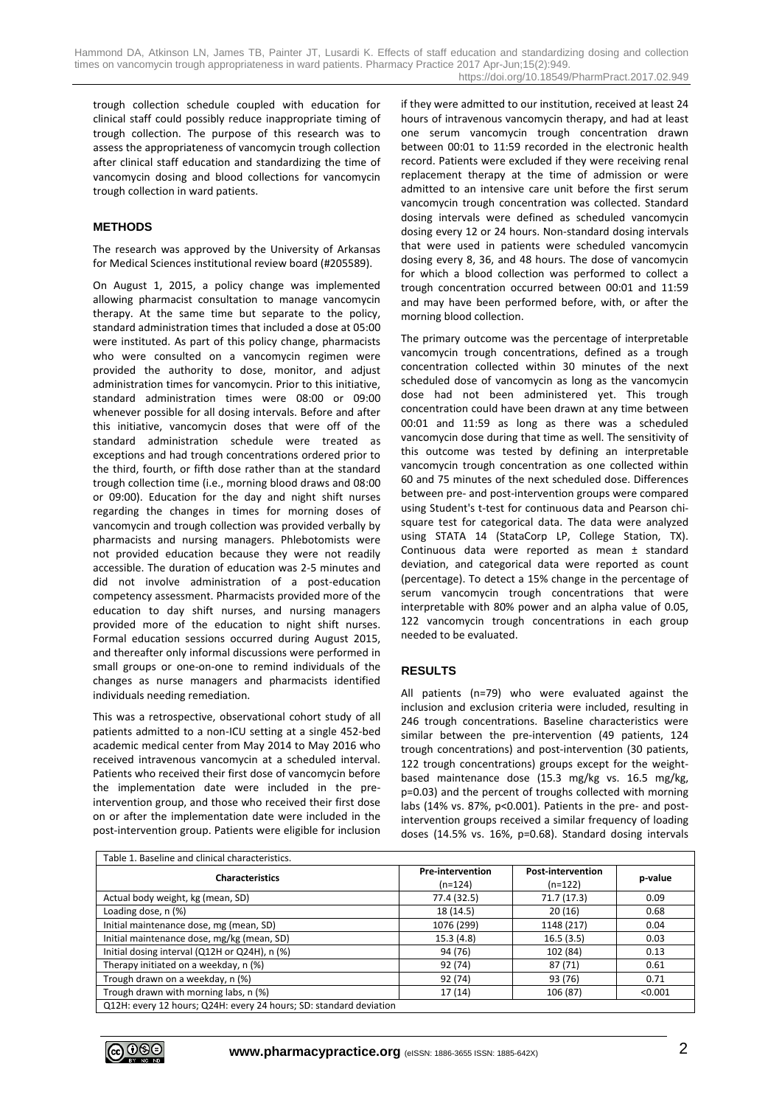trough collection schedule coupled with education for clinical staff could possibly reduce inappropriate timing of trough collection. The purpose of this research was to assess the appropriateness of vancomycin trough collection after clinical staff education and standardizing the time of vancomycin dosing and blood collections for vancomycin trough collection in ward patients.

# **METHODS**

The research was approved by the University of Arkansas for Medical Sciences institutional review board (#205589).

On August 1, 2015, a policy change was implemented allowing pharmacist consultation to manage vancomycin therapy. At the same time but separate to the policy, standard administration times that included a dose at 05:00 were instituted. As part of this policy change, pharmacists who were consulted on a vancomycin regimen were provided the authority to dose, monitor, and adjust administration times for vancomycin. Prior to this initiative, standard administration times were 08:00 or 09:00 whenever possible for all dosing intervals. Before and after this initiative, vancomycin doses that were off of the standard administration schedule were treated as exceptions and had trough concentrations ordered prior to the third, fourth, or fifth dose rather than at the standard trough collection time (i.e., morning blood draws and 08:00 or 09:00). Education for the day and night shift nurses regarding the changes in times for morning doses of vancomycin and trough collection was provided verbally by pharmacists and nursing managers. Phlebotomists were not provided education because they were not readily accessible. The duration of education was 2-5 minutes and did not involve administration of a post-education competency assessment. Pharmacists provided more of the education to day shift nurses, and nursing managers provided more of the education to night shift nurses. Formal education sessions occurred during August 2015, and thereafter only informal discussions were performed in small groups or one-on-one to remind individuals of the changes as nurse managers and pharmacists identified individuals needing remediation.

This was a retrospective, observational cohort study of all patients admitted to a non-ICU setting at a single 452-bed academic medical center from May 2014 to May 2016 who received intravenous vancomycin at a scheduled interval. Patients who received their first dose of vancomycin before the implementation date were included in the preintervention group, and those who received their first dose on or after the implementation date were included in the post-intervention group. Patients were eligible for inclusion if they were admitted to our institution, received at least 24 hours of intravenous vancomycin therapy, and had at least one serum vancomycin trough concentration drawn between 00:01 to 11:59 recorded in the electronic health record. Patients were excluded if they were receiving renal replacement therapy at the time of admission or were admitted to an intensive care unit before the first serum vancomycin trough concentration was collected. Standard dosing intervals were defined as scheduled vancomycin dosing every 12 or 24 hours. Non-standard dosing intervals that were used in patients were scheduled vancomycin dosing every 8, 36, and 48 hours. The dose of vancomycin for which a blood collection was performed to collect a trough concentration occurred between 00:01 and 11:59 and may have been performed before, with, or after the morning blood collection.

The primary outcome was the percentage of interpretable vancomycin trough concentrations, defined as a trough concentration collected within 30 minutes of the next scheduled dose of vancomycin as long as the vancomycin dose had not been administered yet. This trough concentration could have been drawn at any time between 00:01 and 11:59 as long as there was a scheduled vancomycin dose during that time as well. The sensitivity of this outcome was tested by defining an interpretable vancomycin trough concentration as one collected within 60 and 75 minutes of the next scheduled dose. Differences between pre- and post-intervention groups were compared using Student's t-test for continuous data and Pearson chisquare test for categorical data. The data were analyzed using STATA 14 (StataCorp LP, College Station, TX). Continuous data were reported as mean ± standard deviation, and categorical data were reported as count (percentage). To detect a 15% change in the percentage of serum vancomycin trough concentrations that were interpretable with 80% power and an alpha value of 0.05, 122 vancomycin trough concentrations in each group needed to be evaluated.

#### **RESULTS**

All patients (n=79) who were evaluated against the inclusion and exclusion criteria were included, resulting in 246 trough concentrations. Baseline characteristics were similar between the pre-intervention (49 patients, 124 trough concentrations) and post-intervention (30 patients, 122 trough concentrations) groups except for the weightbased maintenance dose (15.3 mg/kg vs. 16.5 mg/kg, p=0.03) and the percent of troughs collected with morning labs (14% vs. 87%, p<0.001). Patients in the pre- and postintervention groups received a similar frequency of loading doses (14.5% vs. 16%, p=0.68). Standard dosing intervals

| Table 1. Baseline and clinical characteristics.                    |                                      |                                     |         |
|--------------------------------------------------------------------|--------------------------------------|-------------------------------------|---------|
| <b>Characteristics</b>                                             | <b>Pre-intervention</b><br>$(n=124)$ | <b>Post-intervention</b><br>(n=122) | p-value |
| Actual body weight, kg (mean, SD)                                  | 77.4 (32.5)                          | 71.7 (17.3)                         | 0.09    |
| Loading dose, n (%)                                                | 18 (14.5)                            | 20(16)                              | 0.68    |
| Initial maintenance dose, mg (mean, SD)                            | 1076 (299)                           | 1148 (217)                          | 0.04    |
| Initial maintenance dose, mg/kg (mean, SD)                         | 15.3(4.8)                            | 16.5(3.5)                           | 0.03    |
| Initial dosing interval (Q12H or Q24H), n (%)                      | 94 (76)                              | 102 (84)                            | 0.13    |
| Therapy initiated on a weekday, n (%)                              | 92 (74)                              | 87(71)                              | 0.61    |
| Trough drawn on a weekday, n (%)                                   | 92 (74)                              | 93 (76)                             | 0.71    |
| Trough drawn with morning labs, n (%)                              | 17(14)                               | 106 (87)                            | < 0.001 |
| Q12H: every 12 hours; Q24H: every 24 hours; SD: standard deviation |                                      |                                     |         |

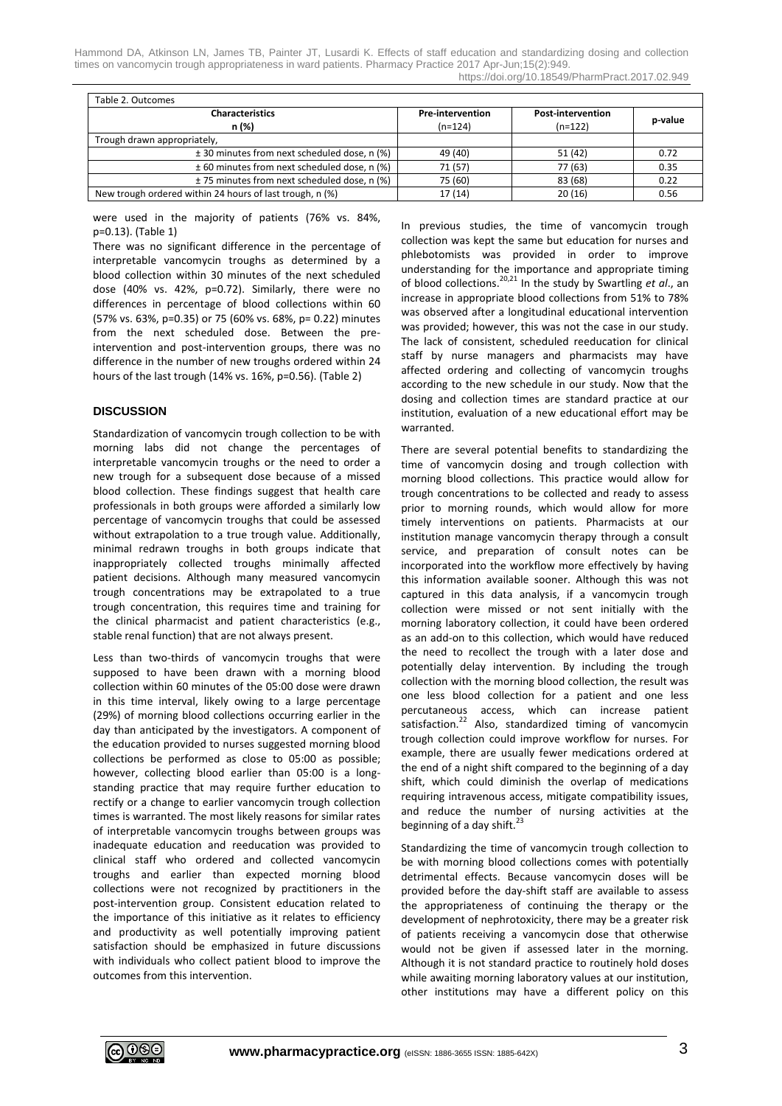Hammond DA, Atkinson LN, James TB, Painter JT, Lusardi K. Effects of staff education and standardizing dosing and collection times on vancomycin trough appropriateness in ward patients. Pharmacy Practice 2017 Apr-Jun;15(2):949. https://doi.org/10.18549/PharmPract.2017.02.949

| <b>Characteristics</b><br>n (%)                          | <b>Pre-intervention</b><br>$(n=124)$ | <b>Post-intervention</b><br>$(n=122)$ | p-value |
|----------------------------------------------------------|--------------------------------------|---------------------------------------|---------|
| Trough drawn appropriately,                              |                                      |                                       |         |
| ± 30 minutes from next scheduled dose, n (%)             | 49 (40)                              | 51 (42)                               | 0.72    |
| ± 60 minutes from next scheduled dose, n (%)             | 71 (57)                              | 77 (63)                               | 0.35    |
| ± 75 minutes from next scheduled dose, n (%)             | 75 (60)                              | 83 (68)                               | 0.22    |
| New trough ordered within 24 hours of last trough, n (%) | 17 (14)                              | 20(16)                                | 0.56    |

were used in the majority of patients (76% vs. 84%, p=0.13). (Table 1)

There was no significant difference in the percentage of interpretable vancomycin troughs as determined by a blood collection within 30 minutes of the next scheduled dose (40% vs. 42%, p=0.72). Similarly, there were no differences in percentage of blood collections within 60 (57% vs. 63%, p=0.35) or 75 (60% vs. 68%, p= 0.22) minutes from the next scheduled dose. Between the preintervention and post-intervention groups, there was no difference in the number of new troughs ordered within 24 hours of the last trough (14% vs. 16%, p=0.56). (Table 2)

# **DISCUSSION**

Standardization of vancomycin trough collection to be with morning labs did not change the percentages of interpretable vancomycin troughs or the need to order a new trough for a subsequent dose because of a missed blood collection. These findings suggest that health care professionals in both groups were afforded a similarly low percentage of vancomycin troughs that could be assessed without extrapolation to a true trough value. Additionally, minimal redrawn troughs in both groups indicate that inappropriately collected troughs minimally affected patient decisions. Although many measured vancomycin trough concentrations may be extrapolated to a true trough concentration, this requires time and training for the clinical pharmacist and patient characteristics (e.g., stable renal function) that are not always present.

Less than two-thirds of vancomycin troughs that were supposed to have been drawn with a morning blood collection within 60 minutes of the 05:00 dose were drawn in this time interval, likely owing to a large percentage (29%) of morning blood collections occurring earlier in the day than anticipated by the investigators. A component of the education provided to nurses suggested morning blood collections be performed as close to 05:00 as possible; however, collecting blood earlier than 05:00 is a longstanding practice that may require further education to rectify or a change to earlier vancomycin trough collection times is warranted. The most likely reasons for similar rates of interpretable vancomycin troughs between groups was inadequate education and reeducation was provided to clinical staff who ordered and collected vancomycin troughs and earlier than expected morning blood collections were not recognized by practitioners in the post-intervention group. Consistent education related to the importance of this initiative as it relates to efficiency and productivity as well potentially improving patient satisfaction should be emphasized in future discussions with individuals who collect patient blood to improve the outcomes from this intervention.

In previous studies, the time of vancomycin trough collection was kept the same but education for nurses and phlebotomists was provided in order to improve understanding for the importance and appropriate timing of blood collections.20,21 In the study by Swartling *et al*., an increase in appropriate blood collections from 51% to 78% was observed after a longitudinal educational intervention was provided; however, this was not the case in our study. The lack of consistent, scheduled reeducation for clinical staff by nurse managers and pharmacists may have affected ordering and collecting of vancomycin troughs according to the new schedule in our study. Now that the dosing and collection times are standard practice at our institution, evaluation of a new educational effort may be warranted.

There are several potential benefits to standardizing the time of vancomycin dosing and trough collection with morning blood collections. This practice would allow for trough concentrations to be collected and ready to assess prior to morning rounds, which would allow for more timely interventions on patients. Pharmacists at our institution manage vancomycin therapy through a consult service, and preparation of consult notes can be incorporated into the workflow more effectively by having this information available sooner. Although this was not captured in this data analysis, if a vancomycin trough collection were missed or not sent initially with the morning laboratory collection, it could have been ordered as an add-on to this collection, which would have reduced the need to recollect the trough with a later dose and potentially delay intervention. By including the trough collection with the morning blood collection, the result was one less blood collection for a patient and one less percutaneous access, which can increase patient satisfaction.<sup>22</sup> Also, standardized timing of vancomycin trough collection could improve workflow for nurses. For example, there are usually fewer medications ordered at the end of a night shift compared to the beginning of a day shift, which could diminish the overlap of medications requiring intravenous access, mitigate compatibility issues, and reduce the number of nursing activities at the beginning of a day shift.<sup>23</sup>

Standardizing the time of vancomycin trough collection to be with morning blood collections comes with potentially detrimental effects. Because vancomycin doses will be provided before the day-shift staff are available to assess the appropriateness of continuing the therapy or the development of nephrotoxicity, there may be a greater risk of patients receiving a vancomycin dose that otherwise would not be given if assessed later in the morning. Although it is not standard practice to routinely hold doses while awaiting morning laboratory values at our institution, other institutions may have a different policy on this

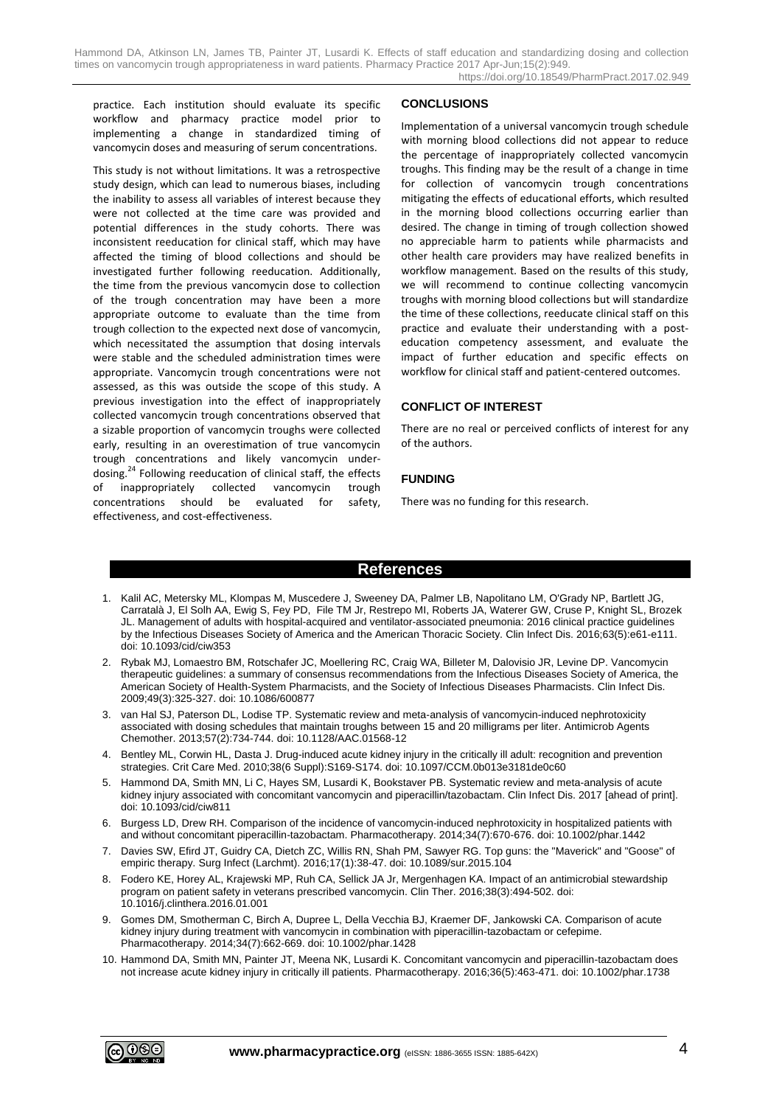practice. Each institution should evaluate its specific workflow and pharmacy practice model prior to implementing a change in standardized timing of vancomycin doses and measuring of serum concentrations.

This study is not without limitations. It was a retrospective study design, which can lead to numerous biases, including the inability to assess all variables of interest because they were not collected at the time care was provided and potential differences in the study cohorts. There was inconsistent reeducation for clinical staff, which may have affected the timing of blood collections and should be investigated further following reeducation. Additionally, the time from the previous vancomycin dose to collection of the trough concentration may have been a more appropriate outcome to evaluate than the time from trough collection to the expected next dose of vancomycin, which necessitated the assumption that dosing intervals were stable and the scheduled administration times were appropriate. Vancomycin trough concentrations were not assessed, as this was outside the scope of this study. A previous investigation into the effect of inappropriately collected vancomycin trough concentrations observed that a sizable proportion of vancomycin troughs were collected early, resulting in an overestimation of true vancomycin trough concentrations and likely vancomycin underdosing.<sup>24</sup> Following reeducation of clinical staff, the effects of inappropriately collected vancomycin trough concentrations should be evaluated for safety, effectiveness, and cost-effectiveness.

# **CONCLUSIONS**

Implementation of a universal vancomycin trough schedule with morning blood collections did not appear to reduce the percentage of inappropriately collected vancomycin troughs. This finding may be the result of a change in time for collection of vancomycin trough concentrations mitigating the effects of educational efforts, which resulted in the morning blood collections occurring earlier than desired. The change in timing of trough collection showed no appreciable harm to patients while pharmacists and other health care providers may have realized benefits in workflow management. Based on the results of this study, we will recommend to continue collecting vancomycin troughs with morning blood collections but will standardize the time of these collections, reeducate clinical staff on this practice and evaluate their understanding with a posteducation competency assessment, and evaluate the impact of further education and specific effects on workflow for clinical staff and patient-centered outcomes.

# **CONFLICT OF INTEREST**

There are no real or perceived conflicts of interest for any of the authors.

# **FUNDING**

There was no funding for this research.

# **References**

- 1. Kalil AC, Metersky ML, Klompas M, Muscedere J, Sweeney DA, Palmer LB, Napolitano LM, O'Grady NP, Bartlett JG, Carratalà J, El Solh AA, Ewig S, Fey PD, File TM Jr, Restrepo MI, Roberts JA, Waterer GW, Cruse P, Knight SL, Brozek JL. Management of adults with hospital-acquired and ventilator-associated pneumonia: 2016 clinical practice guidelines by the Infectious Diseases Society of America and the American Thoracic Society. Clin Infect Dis. 2016;63(5):e61-e111. doi: 10.1093/cid/ciw353
- 2. Rybak MJ, Lomaestro BM, Rotschafer JC, Moellering RC, Craig WA, Billeter M, Dalovisio JR, Levine DP. Vancomycin therapeutic guidelines: a summary of consensus recommendations from the Infectious Diseases Society of America, the American Society of Health-System Pharmacists, and the Society of Infectious Diseases Pharmacists. Clin Infect Dis. 2009;49(3):325-327. doi: 10.1086/600877
- 3. van Hal SJ, Paterson DL, Lodise TP. Systematic review and meta-analysis of vancomycin-induced nephrotoxicity associated with dosing schedules that maintain troughs between 15 and 20 milligrams per liter. Antimicrob Agents Chemother. 2013;57(2):734-744. doi: 10.1128/AAC.01568-12
- 4. Bentley ML, Corwin HL, Dasta J. Drug-induced acute kidney injury in the critically ill adult: recognition and prevention strategies. Crit Care Med. 2010;38(6 Suppl):S169-S174. doi: 10.1097/CCM.0b013e3181de0c60
- 5. Hammond DA, Smith MN, Li C, Hayes SM, Lusardi K, Bookstaver PB. Systematic review and meta-analysis of acute kidney injury associated with concomitant vancomycin and piperacillin/tazobactam. Clin Infect Dis. 2017 [ahead of print]. doi: 10.1093/cid/ciw811
- 6. Burgess LD, Drew RH. Comparison of the incidence of vancomycin-induced nephrotoxicity in hospitalized patients with and without concomitant piperacillin-tazobactam. Pharmacotherapy. 2014;34(7):670-676. doi: 10.1002/phar.1442
- 7. Davies SW, Efird JT, Guidry CA, Dietch ZC, Willis RN, Shah PM, Sawyer RG. Top guns: the "Maverick" and "Goose" of empiric therapy. Surg Infect (Larchmt). 2016;17(1):38-47. doi: 10.1089/sur.2015.104
- 8. Fodero KE, Horey AL, Krajewski MP, Ruh CA, Sellick JA Jr, Mergenhagen KA. Impact of an antimicrobial stewardship program on patient safety in veterans prescribed vancomycin. Clin Ther. 2016;38(3):494-502. doi: 10.1016/j.clinthera.2016.01.001
- 9. Gomes DM, Smotherman C, Birch A, Dupree L, Della Vecchia BJ, Kraemer DF, Jankowski CA. Comparison of acute kidney injury during treatment with vancomycin in combination with piperacillin-tazobactam or cefepime. Pharmacotherapy. 2014;34(7):662-669. doi: 10.1002/phar.1428
- 10. Hammond DA, Smith MN, Painter JT, Meena NK, Lusardi K. Concomitant vancomycin and piperacillin-tazobactam does not increase acute kidney injury in critically ill patients. Pharmacotherapy. 2016;36(5):463-471. doi: 10.1002/phar.1738